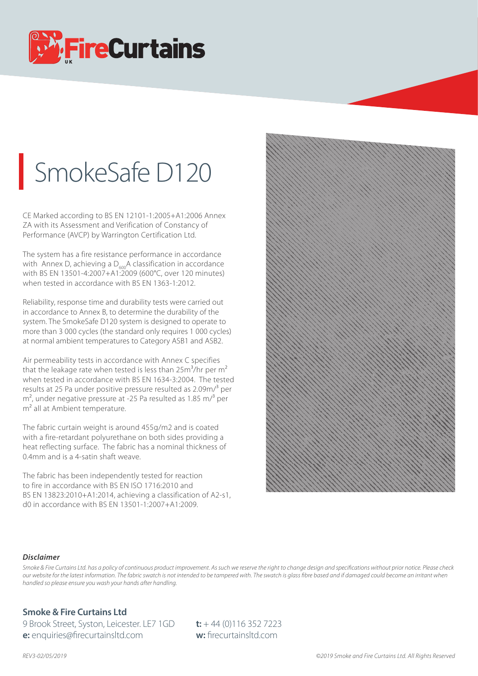

## SmokeSafe D120

CE Marked according to BS EN 12101-1:2005+A1:2006 Annex ZA with its Assessment and Verification of Constancy of Performance (AVCP) by Warrington Certification Ltd.

The system has a fire resistance performance in accordance with Annex D, achieving a  $D_{600}$ A classification in accordance with BS EN 13501-4:2007+A1:2009 (600°C, over 120 minutes) when tested in accordance with BS EN 1363-1:2012.

Reliability, response time and durability tests were carried out in accordance to Annex B, to determine the durability of the system. The SmokeSafe D120 system is designed to operate to more than 3 000 cycles (the standard only requires 1 000 cycles) at normal ambient temperatures to Category ASB1 and ASB2.

Air permeability tests in accordance with Annex C specifies that the leakage rate when tested is less than  $25m^3/hr$  per  $m^2$ when tested in accordance with BS EN 1634-3:2004. The tested results at 25 Pa under positive pressure resulted as 2.09m/3 per  $m<sup>2</sup>$ , under negative pressure at -25 Pa resulted as 1.85 m/ $<sup>3</sup>$  per</sup> m<sup>2</sup> all at Ambient temperature.

The fabric curtain weight is around 455g/m2 and is coated with a fire-retardant polyurethane on both sides providing a heat reflecting surface. The fabric has a nominal thickness of 0.4mm and is a 4-satin shaft weave.

The fabric has been independently tested for reaction to fire in accordance with BS EN ISO 1716:2010 and BS EN 13823:2010+A1:2014, achieving a classification of A2-s1, d0 in accordance with BS EN 13501-1:2007+A1:2009.



## *Disclaimer*

Smoke & Fire Curtains Ltd. has a policy of continuous product improvement. As such we reserve the right to change design and specifications without prior notice. Please check *our website for the latest information. The fabric swatch is not intended to be tampered with. The swatch is glass bre based and if damaged could become an irritant when handled so please ensure you wash your hands after handling.*

## **Smoke & Fire Curtains Ltd**

9 Brook Street, Syston, Leicester. LE7 1GD **t:** + 44 (0)116 352 7223 **e:** enquiries@firecurtainsltd.com **w:** firecurtainsltd.com